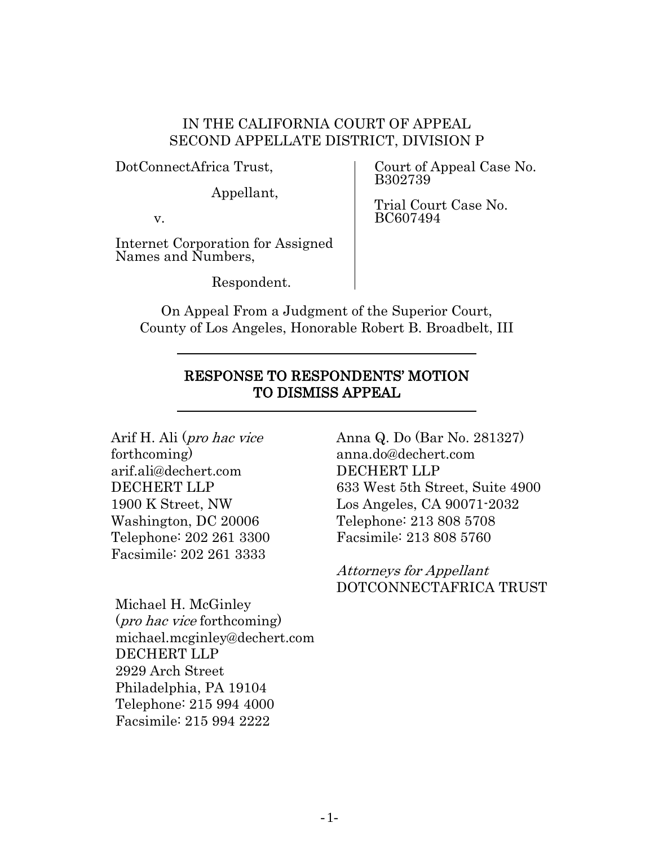### IN THE CALIFORNIA COURT OF APPEAL SECOND APPELLATE DISTRICT, DIVISION P

DotConnectAfrica Trust,

Appellant,

v.

Internet Corporation for Assigned Names and Numbers,

Respondent.

Court of Appeal Case No. B302739

Trial Court Case No. BC607494

On Appeal From a Judgment of the Superior Court, County of Los Angeles, Honorable Robert B. Broadbelt, III

### RESPONSE TO RESPONDENTS' MOTION TO DISMISS APPEAL

Arif H. Ali (pro hac vice forthcoming) arif.ali@dechert.com DECHERT LLP 1900 K Street, NW Washington, DC 20006 Telephone: 202 261 3300 Facsimile: 202 261 3333

Michael H. McGinley (pro hac vice forthcoming) michael.mcginley@dechert.com DECHERT LLP 2929 Arch Street Philadelphia, PA 19104 Telephone: 215 994 4000 Facsimile: 215 994 2222

Anna Q. Do (Bar No. 281327) anna.do@dechert.com DECHERT LLP 633 West 5th Street, Suite 4900 Los Angeles, CA 90071-2032 Telephone: 213 808 5708 Facsimile: 213 808 5760

Attorneys for Appellant DOTCONNECTAFRICA TRUST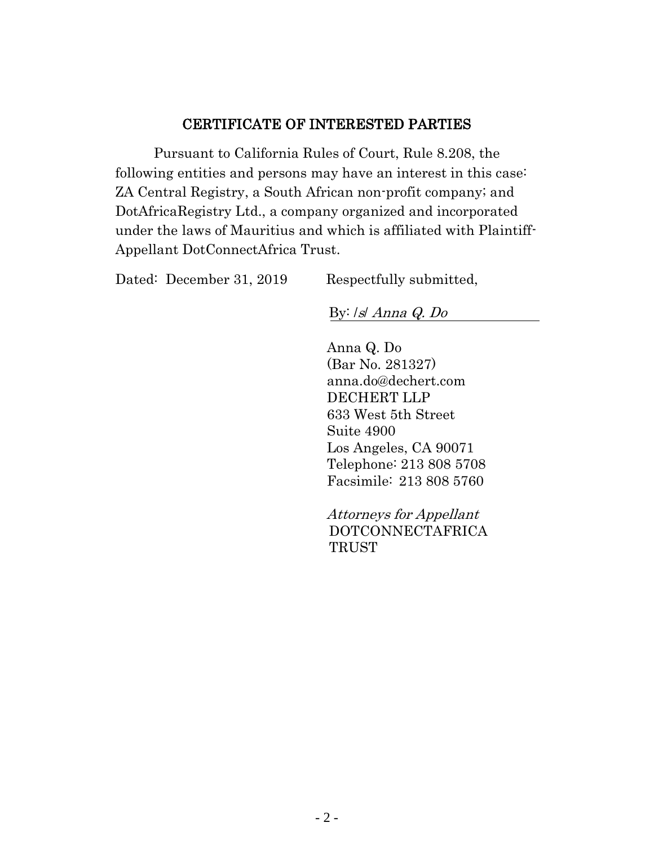### CERTIFICATE OF INTERESTED PARTIES

Pursuant to California Rules of Court, Rule 8.208, the following entities and persons may have an interest in this case: ZA Central Registry, a South African non-profit company; and DotAfricaRegistry Ltd., a company organized and incorporated under the laws of Mauritius and which is affiliated with Plaintiff-Appellant DotConnectAfrica Trust.

| Dated: December 31, 2019 | Respectfully submitted, |
|--------------------------|-------------------------|
|--------------------------|-------------------------|

By: /s/ Anna Q. Do

Anna Q. Do (Bar No. 281327) anna.do@dechert.com DECHERT LLP 633 West 5th Street Suite 4900 Los Angeles, CA 90071 Telephone: 213 808 5708 Facsimile: 213 808 5760

Attorneys for Appellant DOTCONNECTAFRICA **TRUST**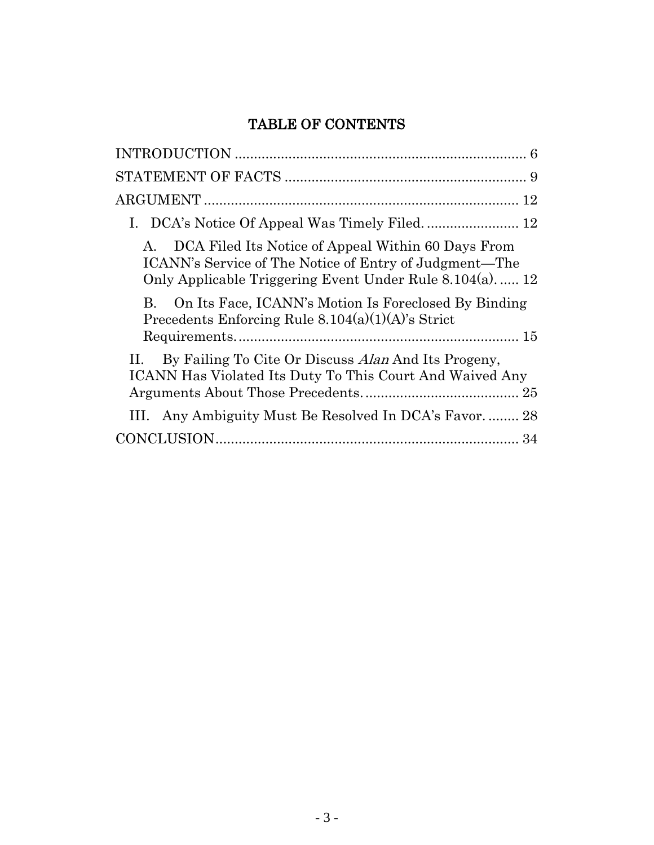# TABLE OF CONTENTS

| DCA Filed Its Notice of Appeal Within 60 Days From<br>А.<br>ICANN's Service of The Notice of Entry of Judgment—The<br>Only Applicable Triggering Event Under Rule 8.104(a) 12 |
|-------------------------------------------------------------------------------------------------------------------------------------------------------------------------------|
| On Its Face, ICANN's Motion Is Foreclosed By Binding<br>$\bf{B}$<br>Precedents Enforcing Rule $8.104(a)(1)(A)$ 's Strict                                                      |
| By Failing To Cite Or Discuss Alan And Its Progeny,<br><b>ICANN Has Violated Its Duty To This Court And Waived Any</b>                                                        |
| III. Any Ambiguity Must Be Resolved In DCA's Favor 28                                                                                                                         |
|                                                                                                                                                                               |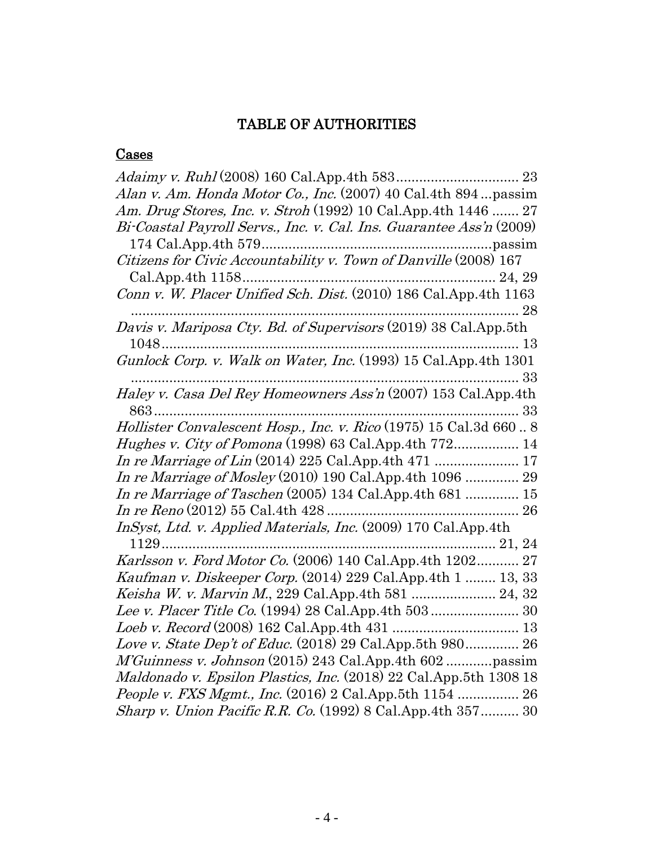## TABLE OF AUTHORITIES

### **Cases**

| Alan v. Am. Honda Motor Co., Inc. (2007) 40 Cal.4th 894  passim          |  |
|--------------------------------------------------------------------------|--|
| Am. Drug Stores, Inc. v. Stroh (1992) 10 Cal. App. 4th 1446  27          |  |
| Bi-Coastal Payroll Servs., Inc. v. Cal. Ins. Guarantee Ass'n (2009)      |  |
|                                                                          |  |
| Citizens for Civic Accountability v. Town of Danville (2008) 167         |  |
|                                                                          |  |
|                                                                          |  |
|                                                                          |  |
| Davis v. Mariposa Cty. Bd. of Supervisors (2019) 38 Cal.App.5th          |  |
|                                                                          |  |
|                                                                          |  |
|                                                                          |  |
| Haley v. Casa Del Rey Homeowners Ass'n (2007) 153 Cal.App.4th            |  |
|                                                                          |  |
| Hollister Convalescent Hosp., Inc. v. Rico (1975) 15 Cal.3d 6608         |  |
| <i>Hughes v. City of Pomona</i> (1998) 63 Cal.App.4th 772 14             |  |
|                                                                          |  |
| In re Marriage of Mosley (2010) 190 Cal. App. 4th 1096  29               |  |
| In re Marriage of Taschen $(2005)$ 134 Cal.App.4th 681  15               |  |
|                                                                          |  |
| InSyst, Ltd. v. Applied Materials, Inc. (2009) 170 Cal.App.4th           |  |
|                                                                          |  |
| Karlsson v. Ford Motor Co. (2006) 140 Cal.App.4th 1202 27                |  |
| Kaufman v. Diskeeper Corp. (2014) 229 Cal.App.4th 1  13, 33              |  |
|                                                                          |  |
|                                                                          |  |
|                                                                          |  |
| Love v. State Dep't of Educ. (2018) 29 Cal. App. 5th 980 26              |  |
| M'Guinness v. Johnson (2015) 243 Cal.App.4th 602 passim                  |  |
| Maldonado v. Epsilon Plastics, Inc. (2018) 22 Cal. App. 5th 1308 18      |  |
| <i>People v. FXS Mgmt., Inc.</i> (2016) 2 Cal.App.5th 1154  26           |  |
| <i>Sharp v. Union Pacific R.R. Co.</i> $(1992)$ 8 Cal. App. 4th $357$ 30 |  |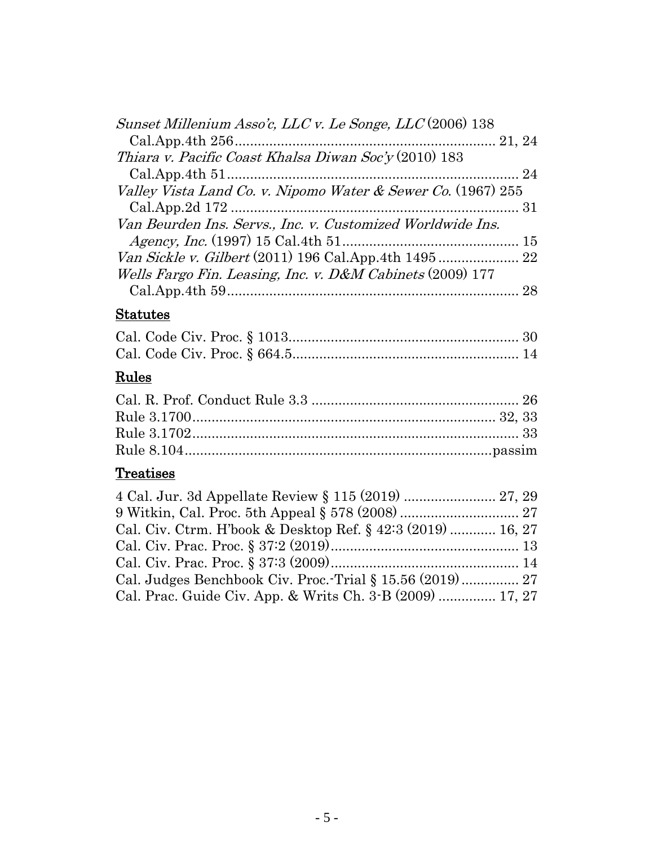| Sunset Millenium Asso'c, LLC v. Le Songe, LLC (2006) 138     |
|--------------------------------------------------------------|
|                                                              |
| Thiara v. Pacific Coast Khalsa Diwan Soc'y (2010) 183        |
|                                                              |
| Valley Vista Land Co. v. Nipomo Water & Sewer Co. (1967) 255 |
|                                                              |
| Van Beurden Ins. Servs., Inc. v. Customized Worldwide Ins.   |
|                                                              |
| Van Sickle v. Gilbert (2011) 196 Cal.App.4th 1495  22        |
| Wells Fargo Fin. Leasing, Inc. v. D&M Cabinets (2009) 177    |
|                                                              |
| <b>Statutes</b>                                              |
|                                                              |
|                                                              |
| Rules                                                        |
|                                                              |
|                                                              |
|                                                              |
|                                                              |
| <b>Treatises</b>                                             |
| 4 Cal. Jur. 3d Appellate Review § 115 (2019)  27, 29         |
|                                                              |
| Cal. Civ. Ctrm. H'book & Desktop Ref. § 42:3 (2019)  16, 27  |
|                                                              |
|                                                              |
| Cal. Judges Benchbook Civ. Proc.-Trial § 15.56 (2019) 27     |

Cal. Prac. Guide Civ. App. & Writs Ch. 3-B (2009) ............... 17, 27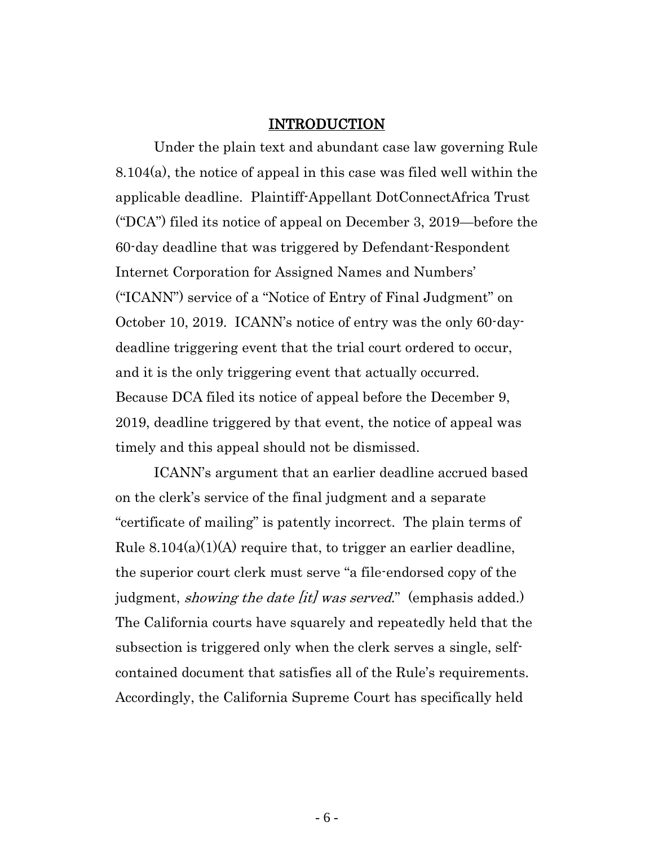#### INTRODUCTION

<span id="page-5-0"></span>Under the plain text and abundant case law governing Rule 8.104(a), the notice of appeal in this case was filed well within the applicable deadline. Plaintiff-Appellant DotConnectAfrica Trust ("DCA") filed its notice of appeal on December 3, 2019—before the 60-day deadline that was triggered by Defendant-Respondent Internet Corporation for Assigned Names and Numbers' ("ICANN") service of a "Notice of Entry of Final Judgment" on October 10, 2019. ICANN's notice of entry was the only 60-daydeadline triggering event that the trial court ordered to occur, and it is the only triggering event that actually occurred. Because DCA filed its notice of appeal before the December 9, 2019, deadline triggered by that event, the notice of appeal was timely and this appeal should not be dismissed.

ICANN's argument that an earlier deadline accrued based on the clerk's service of the final judgment and a separate "certificate of mailing" is patently incorrect. The plain terms of Rule  $8.104(a)(1)(A)$  require that, to trigger an earlier deadline, the superior court clerk must serve "a file-endorsed copy of the judgment, *showing the date [it] was served.*" (emphasis added.) The California courts have squarely and repeatedly held that the subsection is triggered only when the clerk serves a single, selfcontained document that satisfies all of the Rule's requirements. Accordingly, the California Supreme Court has specifically held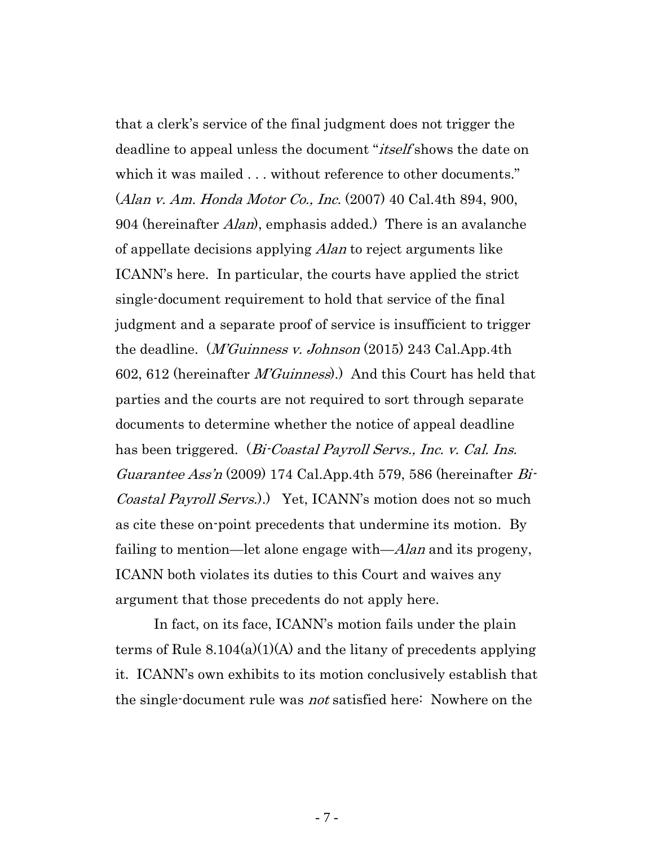that a clerk's service of the final judgment does not trigger the deadline to appeal unless the document "*itself* shows the date on which it was mailed . . . without reference to other documents." (Alan v. Am. Honda Motor Co., Inc. (2007) 40 Cal.4th 894, 900, 904 (hereinafter *Alan*), emphasis added.) There is an avalanche of appellate decisions applying *Alan* to reject arguments like ICANN's here. In particular, the courts have applied the strict single-document requirement to hold that service of the final judgment and a separate proof of service is insufficient to trigger the deadline. (*M'Guinness v. Johnson* (2015) 243 Cal.App.4th 602, 612 (hereinafter M'Guinness).) And this Court has held that parties and the courts are not required to sort through separate documents to determine whether the notice of appeal deadline has been triggered. (*Bi-Coastal Payroll Servs., Inc. v. Cal. Ins.* Guarantee Ass'n (2009) 174 Cal.App.4th 579, 586 (hereinafter  $Bi$ Coastal Payroll Servs.).) Yet, ICANN's motion does not so much as cite these on-point precedents that undermine its motion. By failing to mention—let alone engage with—*Alan* and its progeny, ICANN both violates its duties to this Court and waives any argument that those precedents do not apply here.

In fact, on its face, ICANN's motion fails under the plain terms of Rule 8.104(a)(1)(A) and the litany of precedents applying it. ICANN's own exhibits to its motion conclusively establish that the single-document rule was not satisfied here: Nowhere on the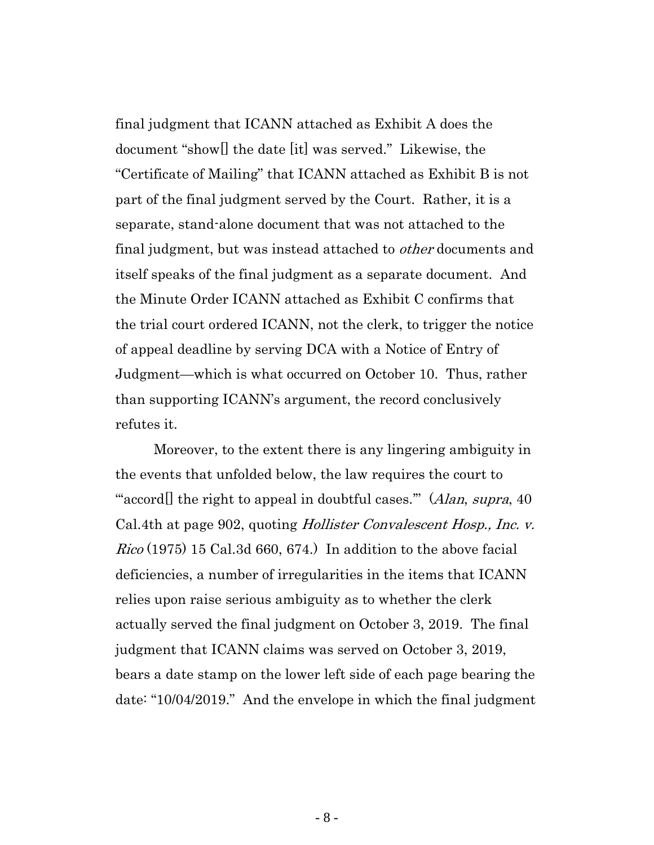final judgment that ICANN attached as Exhibit A does the document "show[] the date [it] was served." Likewise, the "Certificate of Mailing" that ICANN attached as Exhibit B is not part of the final judgment served by the Court. Rather, it is a separate, stand-alone document that was not attached to the final judgment, but was instead attached to *other* documents and itself speaks of the final judgment as a separate document. And the Minute Order ICANN attached as Exhibit C confirms that the trial court ordered ICANN, not the clerk, to trigger the notice of appeal deadline by serving DCA with a Notice of Entry of Judgment—which is what occurred on October 10. Thus, rather than supporting ICANN's argument, the record conclusively refutes it.

Moreover, to the extent there is any lingering ambiguity in the events that unfolded below, the law requires the court to "accord<sup>[]</sup> the right to appeal in doubtful cases." (Alan, supra, 40) Cal.4th at page 902, quoting Hollister Convalescent Hosp., Inc. v.  $Rico (1975) 15 Cal.3d 660, 674.$  In addition to the above facial deficiencies, a number of irregularities in the items that ICANN relies upon raise serious ambiguity as to whether the clerk actually served the final judgment on October 3, 2019. The final judgment that ICANN claims was served on October 3, 2019, bears a date stamp on the lower left side of each page bearing the date: "10/04/2019." And the envelope in which the final judgment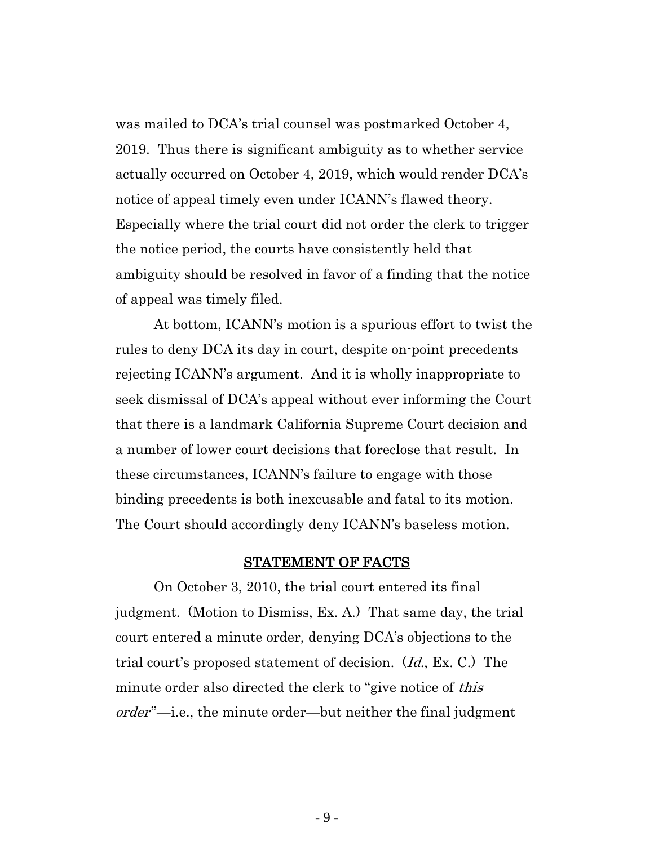was mailed to DCA's trial counsel was postmarked October 4, 2019. Thus there is significant ambiguity as to whether service actually occurred on October 4, 2019, which would render DCA's notice of appeal timely even under ICANN's flawed theory. Especially where the trial court did not order the clerk to trigger the notice period, the courts have consistently held that ambiguity should be resolved in favor of a finding that the notice of appeal was timely filed.

At bottom, ICANN's motion is a spurious effort to twist the rules to deny DCA its day in court, despite on-point precedents rejecting ICANN's argument. And it is wholly inappropriate to seek dismissal of DCA's appeal without ever informing the Court that there is a landmark California Supreme Court decision and a number of lower court decisions that foreclose that result. In these circumstances, ICANN's failure to engage with those binding precedents is both inexcusable and fatal to its motion. The Court should accordingly deny ICANN's baseless motion.

#### STATEMENT OF FACTS

<span id="page-8-0"></span>On October 3, 2010, the trial court entered its final judgment. (Motion to Dismiss, Ex. A.) That same day, the trial court entered a minute order, denying DCA's objections to the trial court's proposed statement of decision. (Id., Ex. C.) The minute order also directed the clerk to "give notice of *this* order"—i.e., the minute order—but neither the final judgment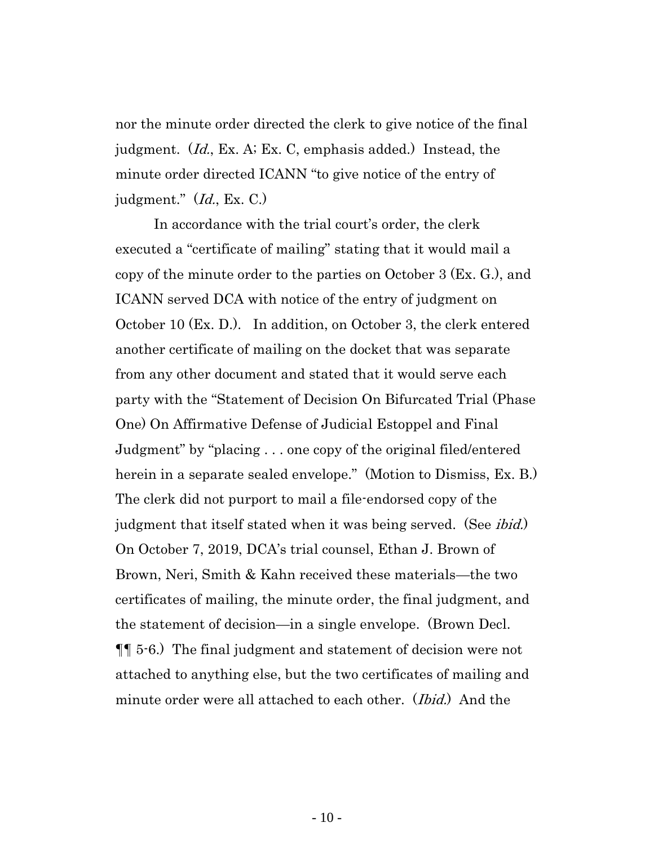nor the minute order directed the clerk to give notice of the final judgment. (Id., Ex. A; Ex. C, emphasis added.) Instead, the minute order directed ICANN "to give notice of the entry of judgment." (Id., Ex. C.)

In accordance with the trial court's order, the clerk executed a "certificate of mailing" stating that it would mail a copy of the minute order to the parties on October 3 (Ex. G.), and ICANN served DCA with notice of the entry of judgment on October 10 (Ex. D.). In addition, on October 3, the clerk entered another certificate of mailing on the docket that was separate from any other document and stated that it would serve each party with the "Statement of Decision On Bifurcated Trial (Phase One) On Affirmative Defense of Judicial Estoppel and Final Judgment" by "placing . . . one copy of the original filed/entered herein in a separate sealed envelope." (Motion to Dismiss, Ex. B.) The clerk did not purport to mail a file-endorsed copy of the judgment that itself stated when it was being served. (See *ibid.*) On October 7, 2019, DCA's trial counsel, Ethan J. Brown of Brown, Neri, Smith & Kahn received these materials—the two certificates of mailing, the minute order, the final judgment, and the statement of decision—in a single envelope. (Brown Decl. ¶¶ 5-6.) The final judgment and statement of decision were not attached to anything else, but the two certificates of mailing and minute order were all attached to each other. *(Ibid.)* And the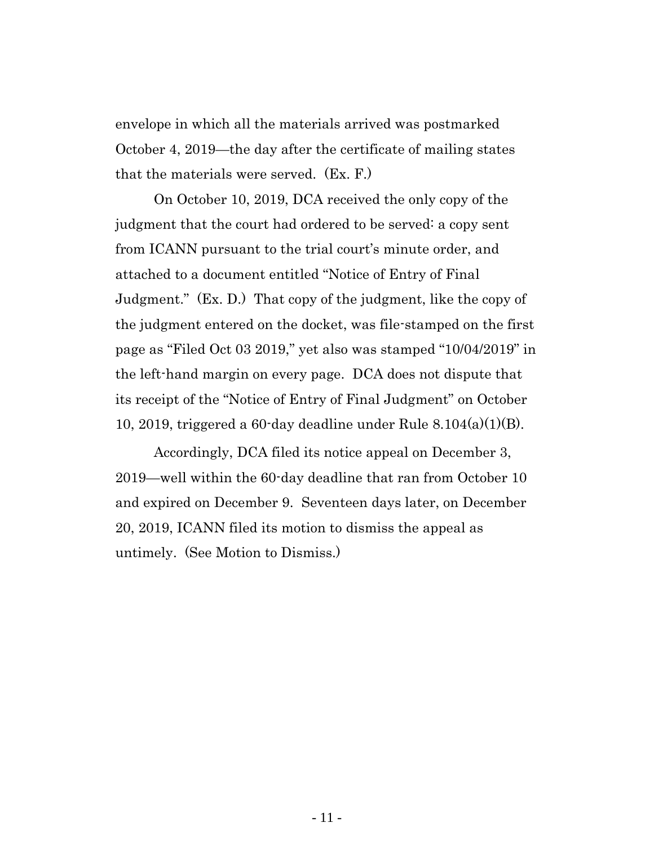envelope in which all the materials arrived was postmarked October 4, 2019—the day after the certificate of mailing states that the materials were served. (Ex. F.)

On October 10, 2019, DCA received the only copy of the judgment that the court had ordered to be served: a copy sent from ICANN pursuant to the trial court's minute order, and attached to a document entitled "Notice of Entry of Final Judgment." (Ex. D.) That copy of the judgment, like the copy of the judgment entered on the docket, was file-stamped on the first page as "Filed Oct 03 2019," yet also was stamped "10/04/2019" in the left-hand margin on every page. DCA does not dispute that its receipt of the "Notice of Entry of Final Judgment" on October 10, 2019, triggered a 60-day deadline under Rule 8.104(a)(1)(B).

Accordingly, DCA filed its notice appeal on December 3, 2019—well within the 60-day deadline that ran from October 10 and expired on December 9. Seventeen days later, on December 20, 2019, ICANN filed its motion to dismiss the appeal as untimely. (See Motion to Dismiss.)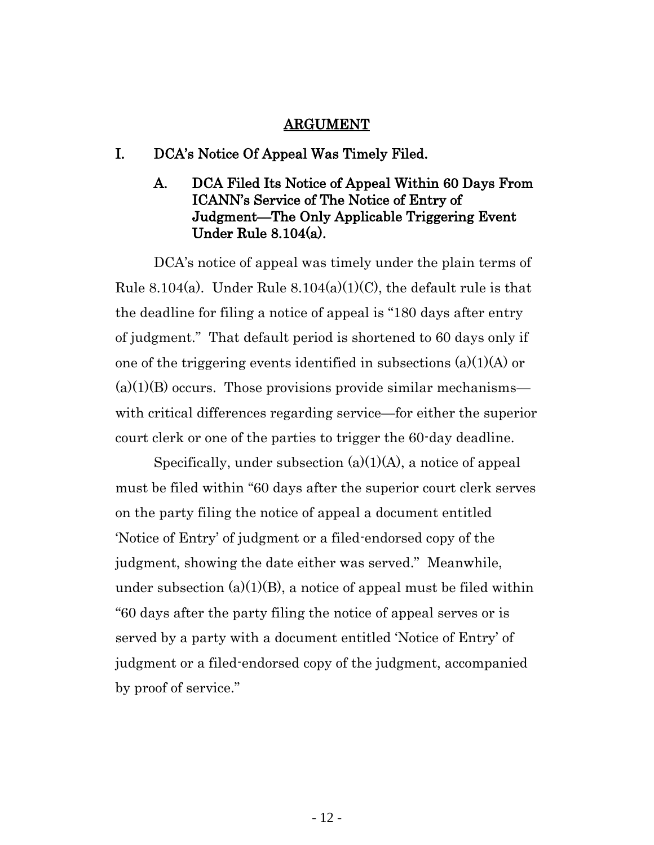#### ARGUMENT

#### <span id="page-11-2"></span><span id="page-11-1"></span><span id="page-11-0"></span>I. DCA's Notice Of Appeal Was Timely Filed.

## A. DCA Filed Its Notice of Appeal Within 60 Days From ICANN's Service of The Notice of Entry of Judgment—The Only Applicable Triggering Event Under Rule 8.104(a).

DCA's notice of appeal was timely under the plain terms of Rule 8.104(a). Under Rule  $8.104(a)(1)(C)$ , the default rule is that the deadline for filing a notice of appeal is "180 days after entry of judgment." That default period is shortened to 60 days only if one of the triggering events identified in subsections  $(a)(1)(A)$  or  $(a)(1)(B)$  occurs. Those provisions provide similar mechanisms with critical differences regarding service—for either the superior court clerk or one of the parties to trigger the 60-day deadline.

Specifically, under subsection (a)(1)(A), a notice of appeal must be filed within "60 days after the superior court clerk serves on the party filing the notice of appeal a document entitled 'Notice of Entry' of judgment or a filed-endorsed copy of the judgment, showing the date either was served." Meanwhile, under subsection  $(a)(1)(B)$ , a notice of appeal must be filed within "60 days after the party filing the notice of appeal serves or is served by a party with a document entitled 'Notice of Entry' of judgment or a filed-endorsed copy of the judgment, accompanied by proof of service."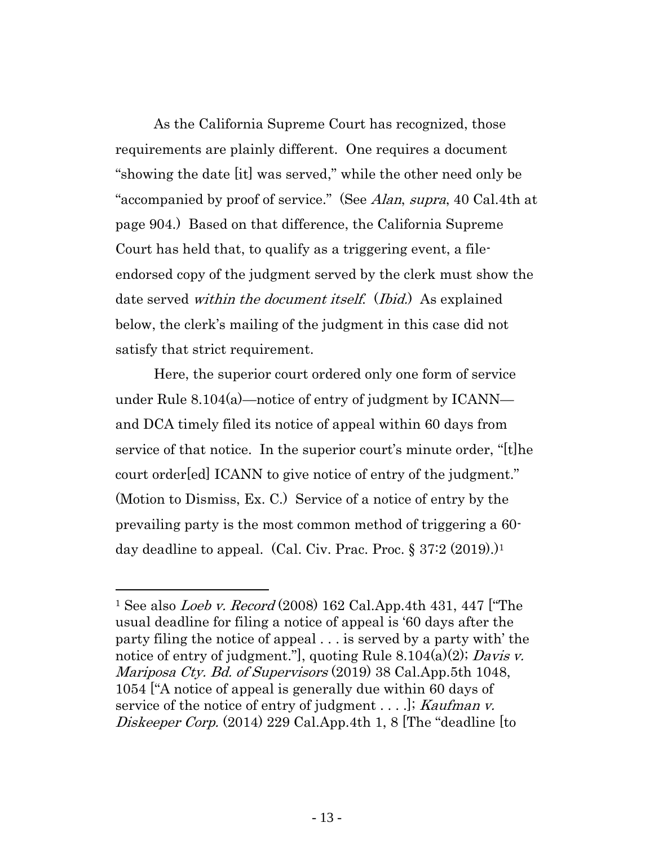As the California Supreme Court has recognized, those requirements are plainly different. One requires a document "showing the date [it] was served," while the other need only be "accompanied by proof of service." (See *Alan, supra,* 40 Cal.4th at page 904.) Based on that difference, the California Supreme Court has held that, to qualify as a triggering event, a fileendorsed copy of the judgment served by the clerk must show the date served *within the document itself.* (*Ibid.*) As explained below, the clerk's mailing of the judgment in this case did not satisfy that strict requirement.

Here, the superior court ordered only one form of service under Rule 8.104(a)—notice of entry of judgment by ICANN and DCA timely filed its notice of appeal within 60 days from service of that notice. In the superior court's minute order, "[t]he court order[ed] ICANN to give notice of entry of the judgment." (Motion to Dismiss, Ex. C.) Service of a notice of entry by the prevailing party is the most common method of triggering a 60 day deadline to appeal. (Cal. Civ. Prac. Proc.  $\S 37:2$  (2019).)<sup>1</sup>

<sup>&</sup>lt;sup>1</sup> See also *Loeb v. Record* (2008) 162 Cal.App.4th 431, 447 ["The usual deadline for filing a notice of appeal is '60 days after the party filing the notice of appeal . . . is served by a party with' the notice of entry of judgment.", quoting Rule 8.104(a)(2); Davis v. Mariposa Cty. Bd. of Supervisors (2019) 38 Cal.App.5th 1048, 1054 ["A notice of appeal is generally due within 60 days of service of the notice of entry of judgment  $\dots$ .  $\vdots$  Kaufman v. Diskeeper Corp. (2014) 229 Cal.App.4th 1, 8 The "deadline [to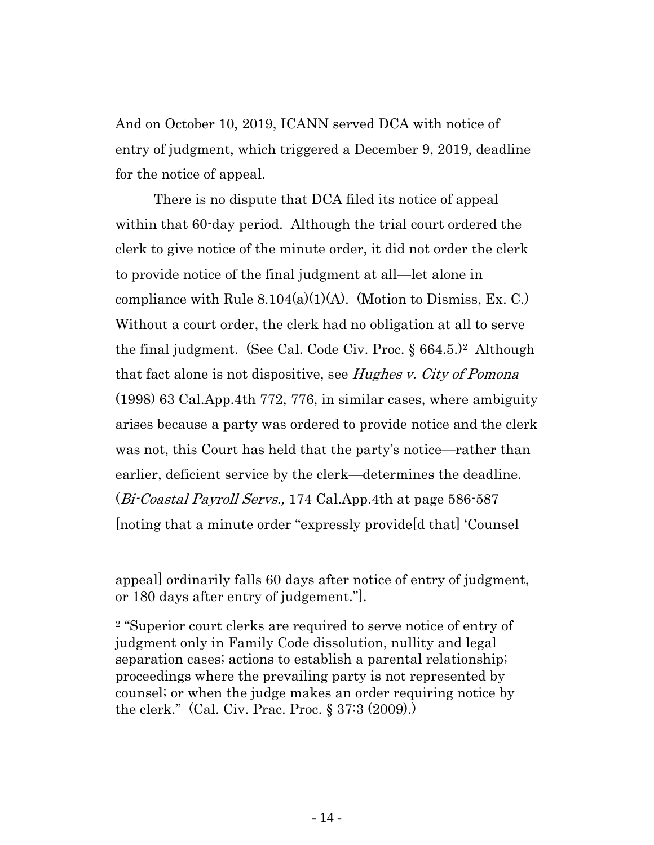And on October 10, 2019, ICANN served DCA with notice of entry of judgment, which triggered a December 9, 2019, deadline for the notice of appeal.

There is no dispute that DCA filed its notice of appeal within that 60-day period. Although the trial court ordered the clerk to give notice of the minute order, it did not order the clerk to provide notice of the final judgment at all—let alone in compliance with Rule  $8.104(a)(1)(A)$ . (Motion to Dismiss, Ex. C.) Without a court order, the clerk had no obligation at all to serve the final judgment. (See Cal. Code Civ. Proc.  $\S 664.5$ .)<sup>2</sup> Although that fact alone is not dispositive, see *Hughes v. City of Pomona* (1998) 63 Cal.App.4th 772, 776, in similar cases, where ambiguity arises because a party was ordered to provide notice and the clerk was not, this Court has held that the party's notice—rather than earlier, deficient service by the clerk—determines the deadline. (Bi-Coastal Payroll Servs., 174 Cal.App.4th at page 586-587 [noting that a minute order "expressly provide[d that] 'Counsel

appeal] ordinarily falls 60 days after notice of entry of judgment, or 180 days after entry of judgement."].

<sup>2</sup> "Superior court clerks are required to serve notice of entry of judgment only in Family Code dissolution, nullity and legal separation cases; actions to establish a parental relationship; proceedings where the prevailing party is not represented by counsel; or when the judge makes an order requiring notice by the clerk." (Cal. Civ. Prac. Proc. § 37:3 (2009).)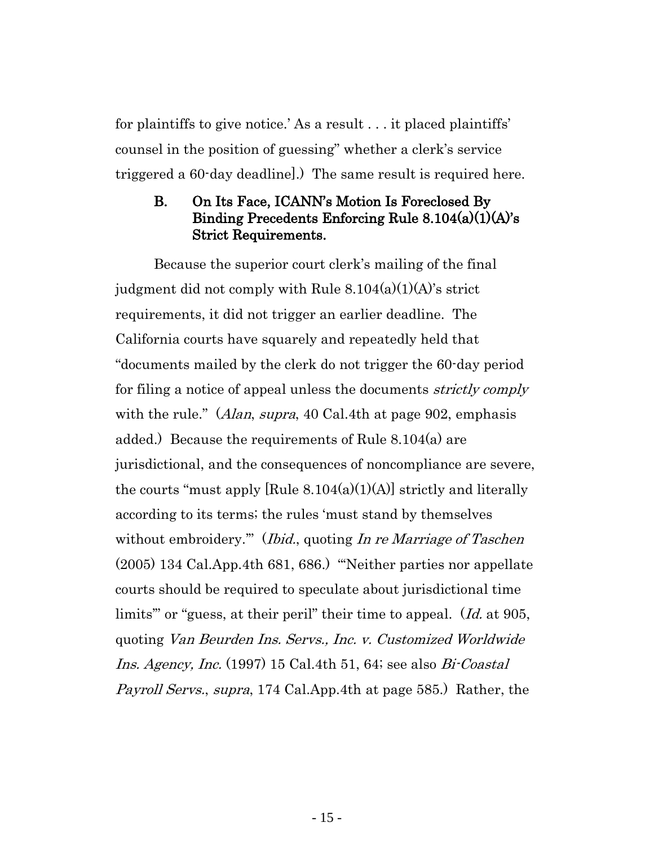for plaintiffs to give notice.' As a result . . . it placed plaintiffs' counsel in the position of guessing" whether a clerk's service triggered a 60-day deadline].) The same result is required here.

## <span id="page-14-0"></span>B. On Its Face, ICANN's Motion Is Foreclosed By Binding Precedents Enforcing Rule 8.104(a)(1)(A)'s Strict Requirements.

Because the superior court clerk's mailing of the final judgment did not comply with Rule  $8.104(a)(1)(A)$ 's strict requirements, it did not trigger an earlier deadline. The California courts have squarely and repeatedly held that "documents mailed by the clerk do not trigger the 60-day period for filing a notice of appeal unless the documents *strictly comply* with the rule." (*Alan, supra*, 40 Cal.4th at page 902, emphasis added.) Because the requirements of Rule 8.104(a) are jurisdictional, and the consequences of noncompliance are severe, the courts "must apply [Rule  $8.104(a)(1)(A)$ ] strictly and literally according to its terms; the rules 'must stand by themselves without embroidery." (*Ibid.*, quoting In re Marriage of Taschen (2005) 134 Cal.App.4th 681, 686.) "'Neither parties nor appellate courts should be required to speculate about jurisdictional time limits" or "guess, at their peril" their time to appeal. (Id. at 905, quoting Van Beurden Ins. Servs., Inc. v. Customized Worldwide Ins. Agency, Inc. (1997) 15 Cal.4th 51, 64; see also Bi-Coastal Payroll Servs., supra, 174 Cal.App.4th at page 585.) Rather, the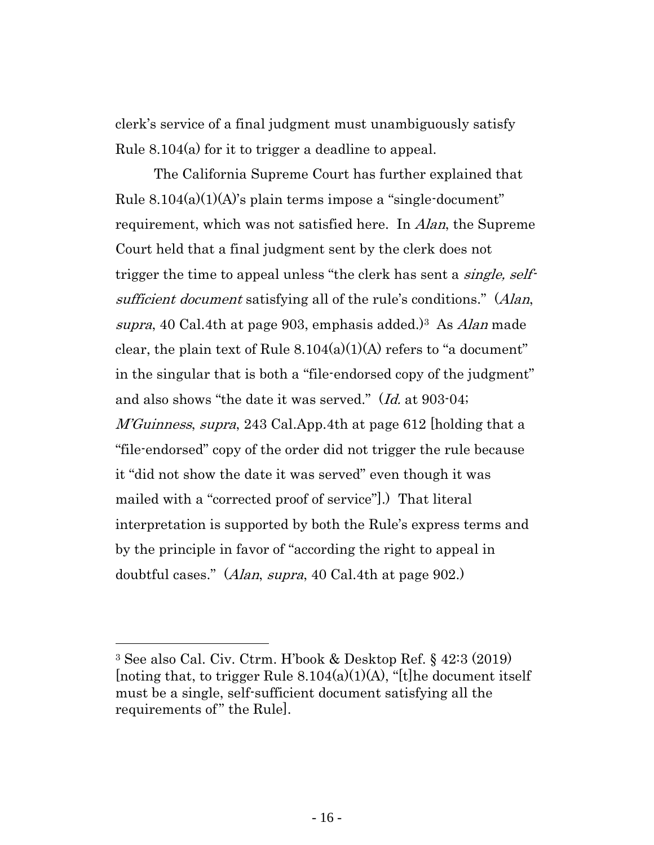clerk's service of a final judgment must unambiguously satisfy Rule 8.104(a) for it to trigger a deadline to appeal.

The California Supreme Court has further explained that Rule  $8.104(a)(1)(A)$ 's plain terms impose a "single-document" requirement, which was not satisfied here. In *Alan*, the Supreme Court held that a final judgment sent by the clerk does not trigger the time to appeal unless "the clerk has sent a *single, self*sufficient document satisfying all of the rule's conditions." (Alan, supra, 40 Cal.4th at page 903, emphasis added.)<sup>3</sup> As *Alan* made clear, the plain text of Rule  $8.104(a)(1)(A)$  refers to "a document" in the singular that is both a "file-endorsed copy of the judgment" and also shows "the date it was served." (Id. at 903-04; *M'Guinness, supra,* 243 Cal.App.4th at page 612 [holding that a "file-endorsed" copy of the order did not trigger the rule because it "did not show the date it was served" even though it was mailed with a "corrected proof of service"].) That literal interpretation is supported by both the Rule's express terms and by the principle in favor of "according the right to appeal in doubtful cases." (Alan, supra, 40 Cal.4th at page 902.)

<sup>3</sup> See also Cal. Civ. Ctrm. H'book & Desktop Ref. § 42:3 (2019) [noting that, to trigger Rule  $8.104(a)(1)(A)$ , "[t]he document itself must be a single, self-sufficient document satisfying all the requirements of" the Rule].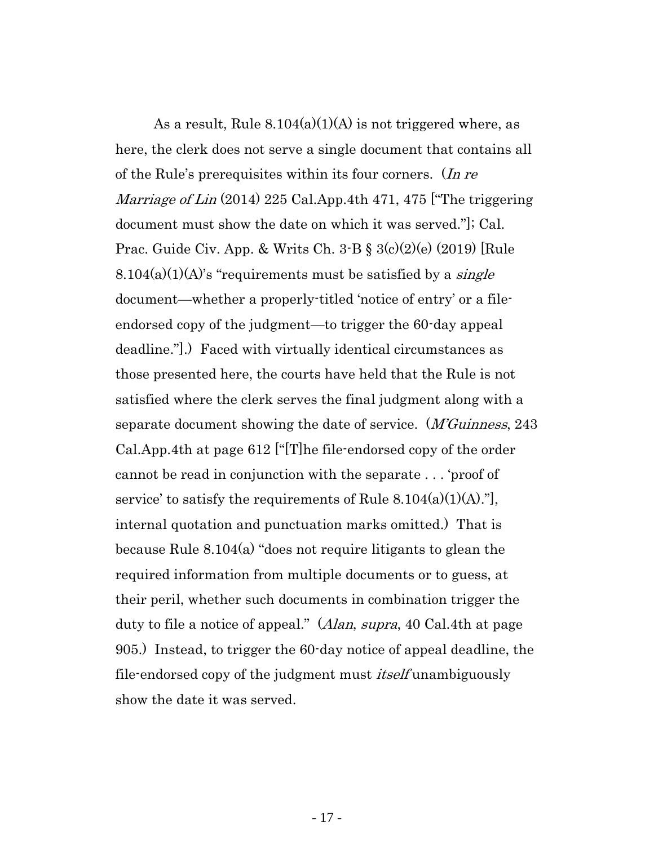As a result, Rule  $8.104(a)(1)(A)$  is not triggered where, as here, the clerk does not serve a single document that contains all of the Rule's prerequisites within its four corners. (In re *Marriage of Lin* (2014) 225 Cal.App.4th 471, 475 ["The triggering" document must show the date on which it was served."]; Cal. Prac. Guide Civ. App. & Writs Ch.  $3-B \t\leq 3(c)(2)(e)$  (2019) [Rule  $8.104(a)(1)(A)$ 's "requirements must be satisfied by a *single* document—whether a properly-titled 'notice of entry' or a fileendorsed copy of the judgment—to trigger the 60-day appeal deadline."].) Faced with virtually identical circumstances as those presented here, the courts have held that the Rule is not satisfied where the clerk serves the final judgment along with a separate document showing the date of service. (*M'Guinness*, 243 Cal.App.4th at page 612 ["[T]he file-endorsed copy of the order cannot be read in conjunction with the separate . . . 'proof of service' to satisfy the requirements of Rule  $8.104(a)(1)(A)$ ." internal quotation and punctuation marks omitted.) That is because Rule 8.104(a) "does not require litigants to glean the required information from multiple documents or to guess, at their peril, whether such documents in combination trigger the duty to file a notice of appeal." (Alan, supra, 40 Cal.4th at page 905.) Instead, to trigger the 60-day notice of appeal deadline, the file-endorsed copy of the judgment must *itself* unambiguously show the date it was served.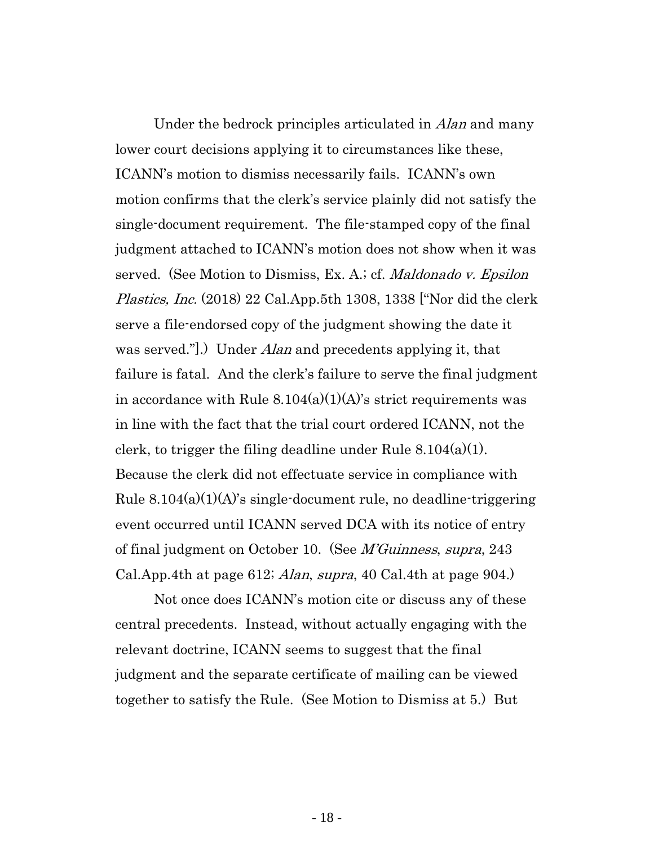Under the bedrock principles articulated in *Alan* and many lower court decisions applying it to circumstances like these, ICANN's motion to dismiss necessarily fails. ICANN's own motion confirms that the clerk's service plainly did not satisfy the single-document requirement. The file-stamped copy of the final judgment attached to ICANN's motion does not show when it was served. (See Motion to Dismiss, Ex. A.; cf. *Maldonado v. Epsilon* Plastics, Inc. (2018) 22 Cal.App.5th 1308, 1338 ["Nor did the clerk" serve a file-endorsed copy of the judgment showing the date it was served.".) Under *Alan* and precedents applying it, that failure is fatal. And the clerk's failure to serve the final judgment in accordance with Rule  $8.104(a)(1)(A)$ 's strict requirements was in line with the fact that the trial court ordered ICANN, not the clerk, to trigger the filing deadline under Rule  $8.104(a)(1)$ . Because the clerk did not effectuate service in compliance with Rule  $8.104(a)(1)(A)$ 's single-document rule, no deadline-triggering event occurred until ICANN served DCA with its notice of entry of final judgment on October 10. (See *M'Guinness, supra,* 243 Cal. App. 4th at page 612; *Alan, supra*, 40 Cal. 4th at page 904.)

Not once does ICANN's motion cite or discuss any of these central precedents. Instead, without actually engaging with the relevant doctrine, ICANN seems to suggest that the final judgment and the separate certificate of mailing can be viewed together to satisfy the Rule. (See Motion to Dismiss at 5.) But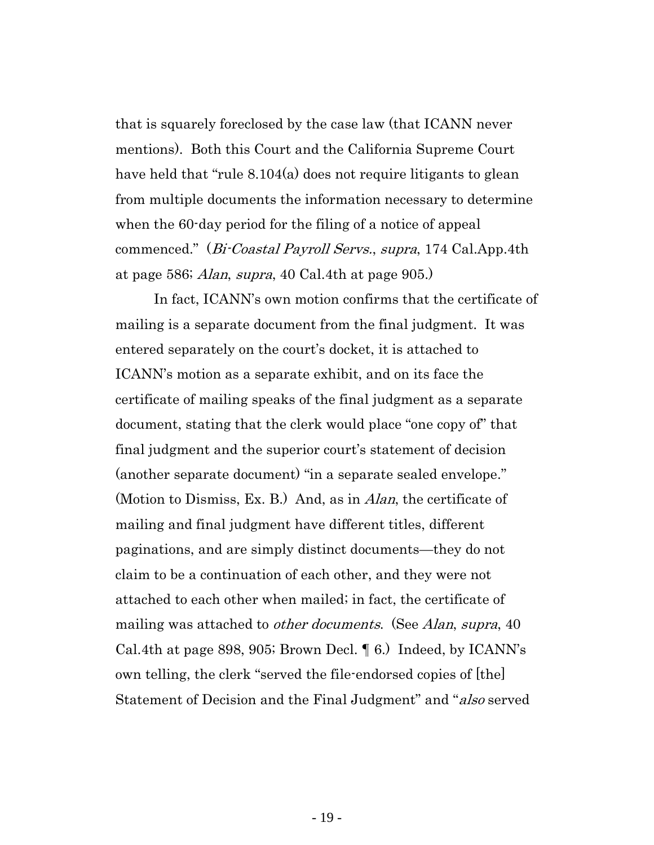that is squarely foreclosed by the case law (that ICANN never mentions). Both this Court and the California Supreme Court have held that "rule 8.104(a) does not require litigants to glean from multiple documents the information necessary to determine when the 60-day period for the filing of a notice of appeal commenced." (Bi-Coastal Payroll Servs., supra, 174 Cal.App.4th at page 586; Alan, supra, 40 Cal.4th at page 905.)

In fact, ICANN's own motion confirms that the certificate of mailing is a separate document from the final judgment. It was entered separately on the court's docket, it is attached to ICANN's motion as a separate exhibit, and on its face the certificate of mailing speaks of the final judgment as a separate document, stating that the clerk would place "one copy of" that final judgment and the superior court's statement of decision (another separate document) "in a separate sealed envelope." (Motion to Dismiss, Ex. B.) And, as in *Alan*, the certificate of mailing and final judgment have different titles, different paginations, and are simply distinct documents—they do not claim to be a continuation of each other, and they were not attached to each other when mailed; in fact, the certificate of mailing was attached to *other documents.* (See *Alan, supra,* 40 Cal.4th at page 898, 905; Brown Decl. ¶ 6.) Indeed, by ICANN's own telling, the clerk "served the file-endorsed copies of [the] Statement of Decision and the Final Judgment" and "also served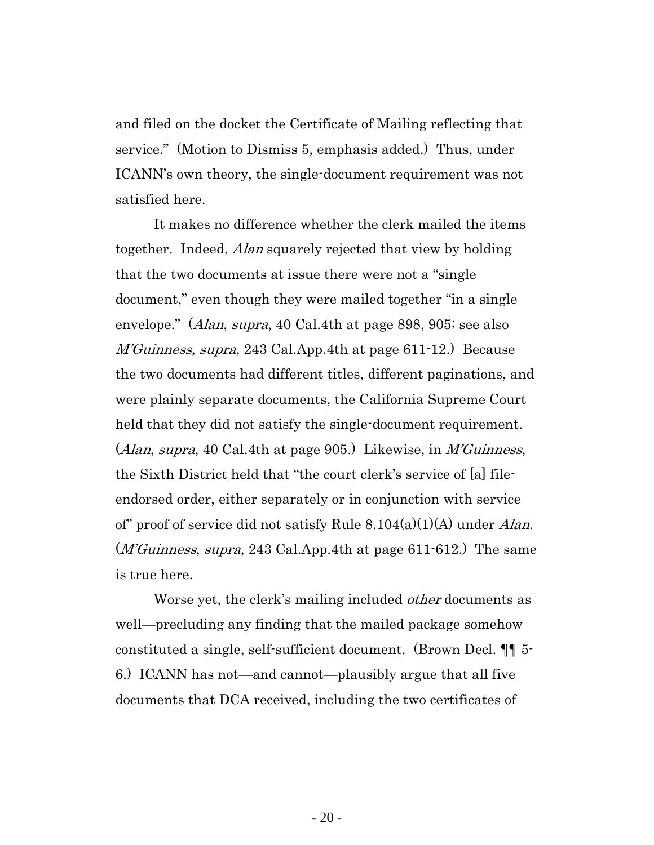and filed on the docket the Certificate of Mailing reflecting that service." (Motion to Dismiss 5, emphasis added.) Thus, under ICANN's own theory, the single-document requirement was not satisfied here.

It makes no difference whether the clerk mailed the items together. Indeed, Alan squarely rejected that view by holding that the two documents at issue there were not a "single document," even though they were mailed together "in a single envelope." (*Alan, supra,* 40 Cal.4th at page 898, 905; see also M'Guinness, supra, 243 Cal.App.4th at page 611-12.) Because the two documents had different titles, different paginations, and were plainly separate documents, the California Supreme Court held that they did not satisfy the single-document requirement. (Alan, supra, 40 Cal.4th at page 905.) Likewise, in M'Guinness, the Sixth District held that "the court clerk's service of [a] fileendorsed order, either separately or in conjunction with service of" proof of service did not satisfy Rule  $8.104(a)(1)(A)$  under Alan.  $(M'Guinness, supra, 243 Cal. App.4th at page 611-612.)$  The same is true here.

Worse yet, the clerk's mailing included *other* documents as well—precluding any finding that the mailed package somehow constituted a single, self-sufficient document. (Brown Decl. ¶¶ 5- 6.) ICANN has not—and cannot—plausibly argue that all five documents that DCA received, including the two certificates of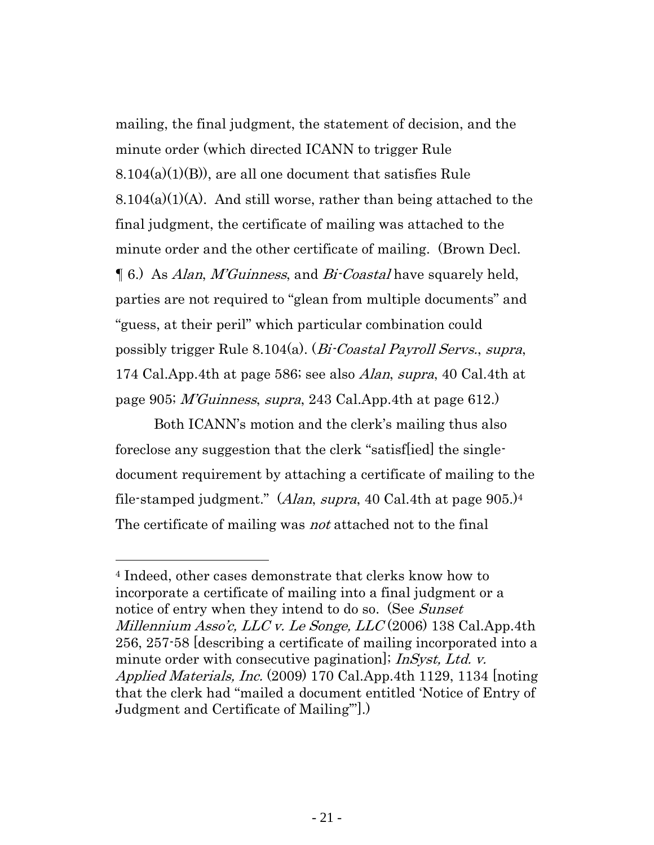mailing, the final judgment, the statement of decision, and the minute order (which directed ICANN to trigger Rule  $8.104(a)(1)(B)$ , are all one document that satisfies Rule  $8.104(a)(1)(A)$ . And still worse, rather than being attached to the final judgment, the certificate of mailing was attached to the minute order and the other certificate of mailing. (Brown Decl. ¶ 6.) As Alan, M'Guinness, and Bi-Coastal have squarely held, parties are not required to "glean from multiple documents" and "guess, at their peril" which particular combination could possibly trigger Rule 8.104(a). (Bi-Coastal Payroll Servs., supra, 174 Cal.App.4th at page 586; see also Alan, supra, 40 Cal.4th at page 905; *M'Guinness, supra*, 243 Cal.App.4th at page 612.

Both ICANN's motion and the clerk's mailing thus also foreclose any suggestion that the clerk "satisf[ied] the singledocument requirement by attaching a certificate of mailing to the file-stamped judgment." (Alan, supra, 40 Cal.4th at page  $905$ .)<sup>4</sup> The certificate of mailing was *not* attached not to the final

<sup>4</sup> Indeed, other cases demonstrate that clerks know how to incorporate a certificate of mailing into a final judgment or a notice of entry when they intend to do so. (See Sunset Millennium Asso'c, LLC v. Le Songe, LLC  $(2006)$  138 Cal.App.4th 256, 257-58 [describing a certificate of mailing incorporated into a minute order with consecutive pagination]; *InSyst, Ltd. v.* Applied Materials, Inc. (2009) 170 Cal.App.4th 1129, 1134 [noting that the clerk had "mailed a document entitled 'Notice of Entry of Judgment and Certificate of Mailing'"].)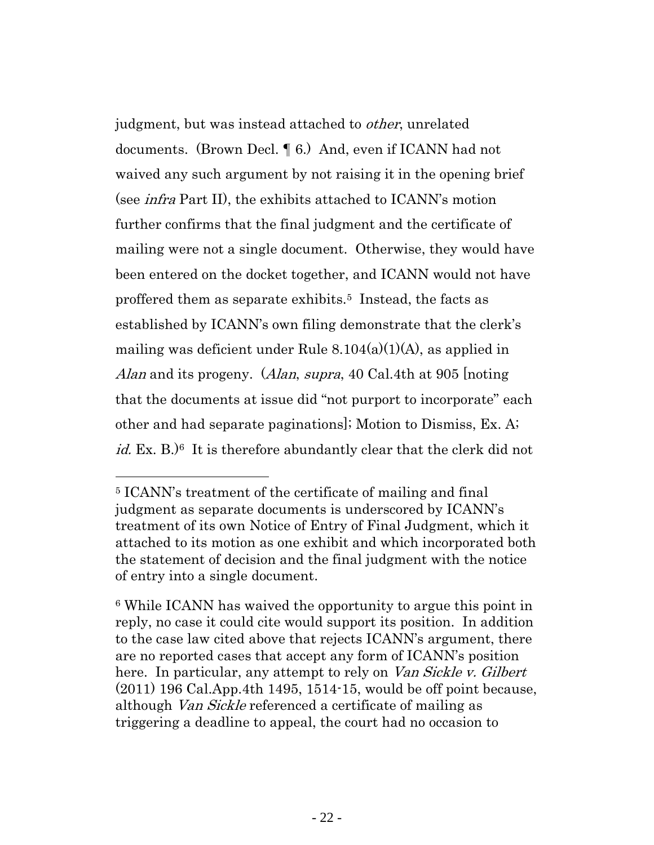judgment, but was instead attached to other, unrelated documents. (Brown Decl. ¶ 6.) And, even if ICANN had not waived any such argument by not raising it in the opening brief (see infra Part II), the exhibits attached to ICANN's motion further confirms that the final judgment and the certificate of mailing were not a single document. Otherwise, they would have been entered on the docket together, and ICANN would not have proffered them as separate exhibits.<sup>5</sup> Instead, the facts as established by ICANN's own filing demonstrate that the clerk's mailing was deficient under Rule 8.104(a)(1)(A), as applied in Alan and its progeny. (Alan, supra, 40 Cal.4th at 905 noting that the documents at issue did "not purport to incorporate" each other and had separate paginations]; Motion to Dismiss, Ex. A;  $id.$  Ex. B. $)^6$  It is therefore abundantly clear that the clerk did not

<sup>5</sup> ICANN's treatment of the certificate of mailing and final judgment as separate documents is underscored by ICANN's treatment of its own Notice of Entry of Final Judgment, which it attached to its motion as one exhibit and which incorporated both the statement of decision and the final judgment with the notice of entry into a single document.

<sup>6</sup> While ICANN has waived the opportunity to argue this point in reply, no case it could cite would support its position. In addition to the case law cited above that rejects ICANN's argument, there are no reported cases that accept any form of ICANN's position here. In particular, any attempt to rely on *Van Sickle v. Gilbert* (2011) 196 Cal.App.4th 1495, 1514-15, would be off point because, although Van Sickle referenced a certificate of mailing as triggering a deadline to appeal, the court had no occasion to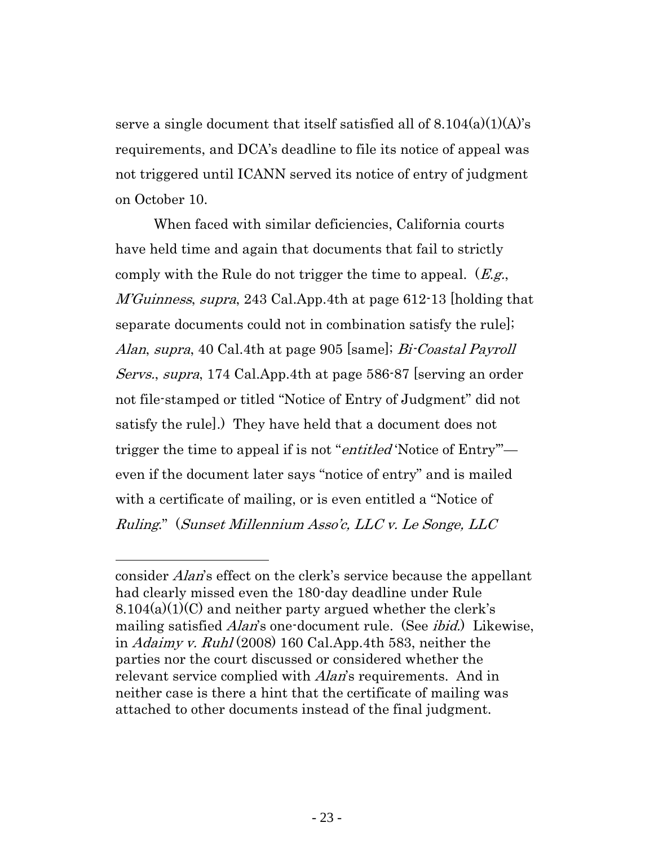serve a single document that itself satisfied all of  $8.104(a)(1)(A)$ 's requirements, and DCA's deadline to file its notice of appeal was not triggered until ICANN served its notice of entry of judgment on October 10.

When faced with similar deficiencies, California courts have held time and again that documents that fail to strictly comply with the Rule do not trigger the time to appeal.  $(E.g.,)$ M'Guinness, supra, 243 Cal.App.4th at page 612-13 [holding that separate documents could not in combination satisfy the rule]; Alan, supra, 40 Cal.4th at page 905 [same]; Bi-Coastal Payroll Servs., supra, 174 Cal.App.4th at page 586-87 [serving an order not file-stamped or titled "Notice of Entry of Judgment" did not satisfy the rule].) They have held that a document does not trigger the time to appeal if is not "*entitled* 'Notice of Entry" even if the document later says "notice of entry" and is mailed with a certificate of mailing, or is even entitled a "Notice of Ruling." (Sunset Millennium Asso'c, LLC v. Le Songe, LLC

consider Alan's effect on the clerk's service because the appellant had clearly missed even the 180-day deadline under Rule  $8.104(a)(1)(C)$  and neither party argued whether the clerk's mailing satisfied *Alan*'s one-document rule. (See *ibid.*) Likewise, in Adaimy v. Ruhl (2008) 160 Cal.App.4th 583, neither the parties nor the court discussed or considered whether the relevant service complied with *Alan*'s requirements. And in neither case is there a hint that the certificate of mailing was attached to other documents instead of the final judgment.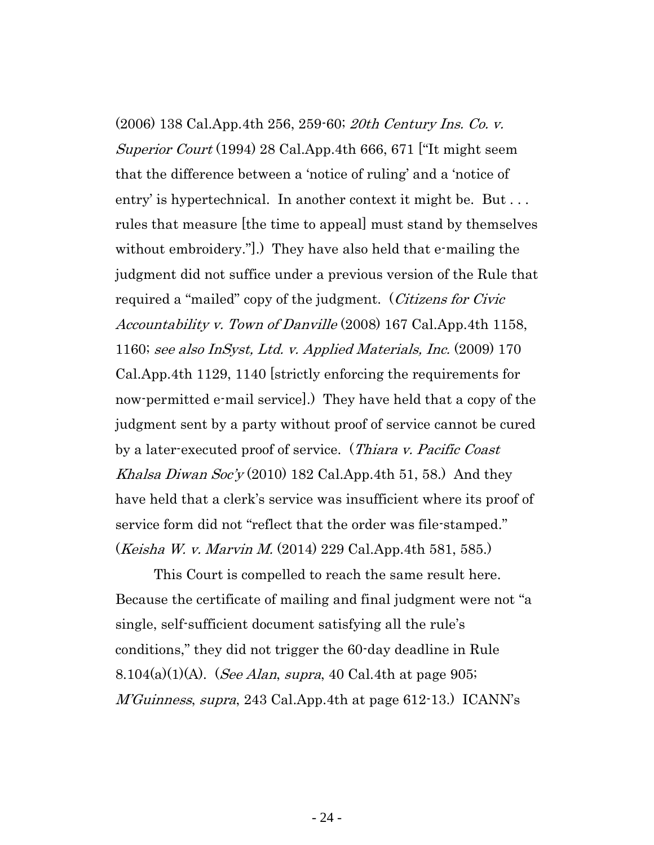(2006) 138 Cal.App.4th 256, 259-60; 20th Century Ins. Co. v. Superior Court (1994) 28 Cal.App.4th 666, 671 ["It might seem that the difference between a 'notice of ruling' and a 'notice of entry' is hypertechnical. In another context it might be. But . . . rules that measure [the time to appeal] must stand by themselves without embroidery.".) They have also held that e-mailing the judgment did not suffice under a previous version of the Rule that required a "mailed" copy of the judgment. (Citizens for Civic Accountability v. Town of Danville (2008) 167 Cal.App.4th 1158, 1160; see also InSyst, Ltd. v. Applied Materials, Inc. (2009) 170 Cal.App.4th 1129, 1140 [strictly enforcing the requirements for now-permitted e-mail service].) They have held that a copy of the judgment sent by a party without proof of service cannot be cured by a later-executed proof of service. (Thiara v. Pacific Coast Khalsa Diwan Soc'y (2010) 182 Cal.App.4th 51, 58.) And they have held that a clerk's service was insufficient where its proof of service form did not "reflect that the order was file-stamped." (Keisha W. v. Marvin M. (2014) 229 Cal.App.4th 581, 585.)

This Court is compelled to reach the same result here. Because the certificate of mailing and final judgment were not "a single, self-sufficient document satisfying all the rule's conditions," they did not trigger the 60-day deadline in Rule 8.104(a)(1)(A). (*See Alan, supra,* 40 Cal.4th at page 905; M'Guinness, supra, 243 Cal.App.4th at page 612-13.) ICANN's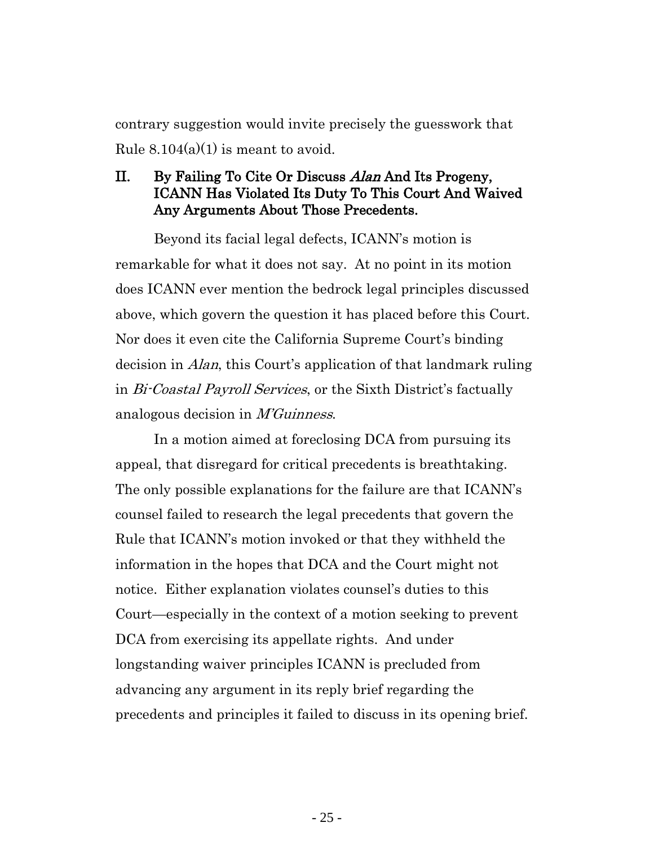contrary suggestion would invite precisely the guesswork that Rule  $8.104(a)(1)$  is meant to avoid.

## <span id="page-24-0"></span>II. By Failing To Cite Or Discuss Alan And Its Progeny, ICANN Has Violated Its Duty To This Court And Waived Any Arguments About Those Precedents.

Beyond its facial legal defects, ICANN's motion is remarkable for what it does not say. At no point in its motion does ICANN ever mention the bedrock legal principles discussed above, which govern the question it has placed before this Court. Nor does it even cite the California Supreme Court's binding decision in Alan, this Court's application of that landmark ruling in Bi-Coastal Payroll Services, or the Sixth District's factually analogous decision in M'Guinness.

In a motion aimed at foreclosing DCA from pursuing its appeal, that disregard for critical precedents is breathtaking. The only possible explanations for the failure are that ICANN's counsel failed to research the legal precedents that govern the Rule that ICANN's motion invoked or that they withheld the information in the hopes that DCA and the Court might not notice. Either explanation violates counsel's duties to this Court—especially in the context of a motion seeking to prevent DCA from exercising its appellate rights. And under longstanding waiver principles ICANN is precluded from advancing any argument in its reply brief regarding the precedents and principles it failed to discuss in its opening brief.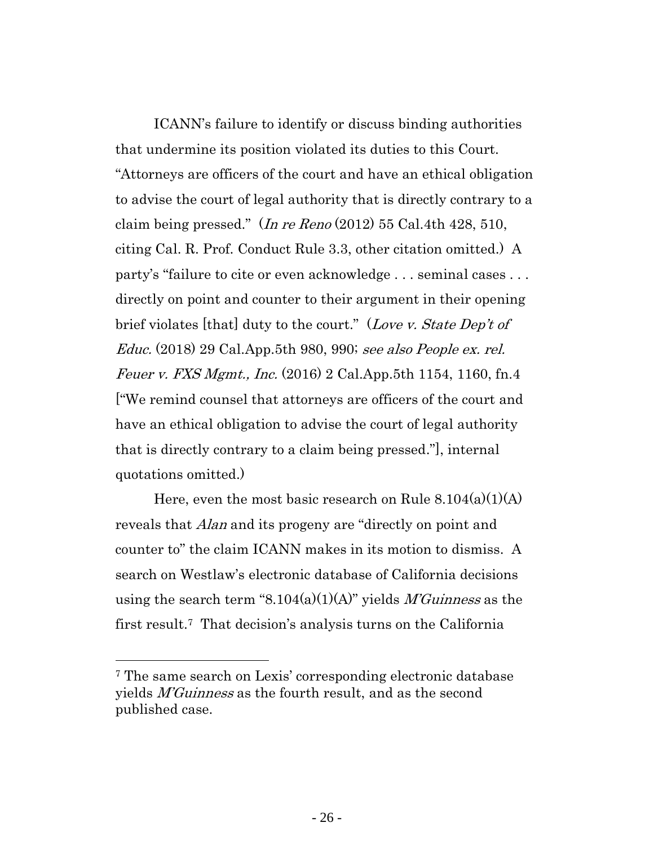ICANN's failure to identify or discuss binding authorities that undermine its position violated its duties to this Court. "Attorneys are officers of the court and have an ethical obligation to advise the court of legal authority that is directly contrary to a claim being pressed."  $(In re$   $Reno$   $(2012)$  55 Cal.4th 428, 510, citing Cal. R. Prof. Conduct Rule 3.3, other citation omitted.) A party's "failure to cite or even acknowledge . . . seminal cases . . . directly on point and counter to their argument in their opening brief violates [that] duty to the court." (Love v. State Dep't of Educ. (2018) 29 Cal.App.5th 980, 990; see also People ex. rel. Feuer v. FXS Mgmt., Inc. (2016) 2 Cal.App.5th 1154, 1160, fn.4 ["We remind counsel that attorneys are officers of the court and have an ethical obligation to advise the court of legal authority that is directly contrary to a claim being pressed."], internal quotations omitted.)

Here, even the most basic research on Rule  $8.104(a)(1)(A)$ reveals that *Alan* and its progeny are "directly on point and counter to" the claim ICANN makes in its motion to dismiss. A search on Westlaw's electronic database of California decisions using the search term "8.104(a)(1)(A)" yields *M'Guinness* as the first result.<sup>7</sup> That decision's analysis turns on the California

<sup>7</sup> The same search on Lexis' corresponding electronic database yields M'Guinness as the fourth result, and as the second published case.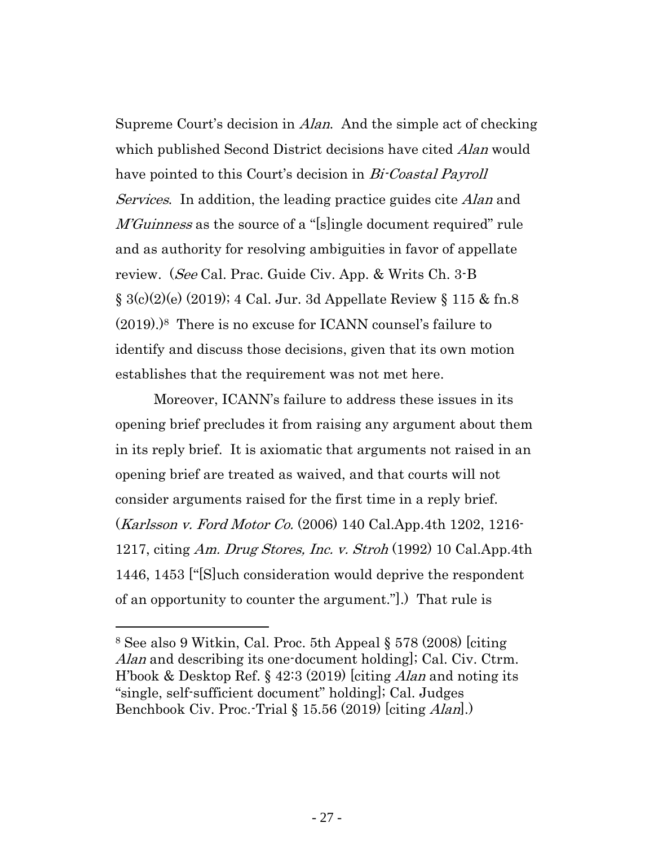Supreme Court's decision in Alan. And the simple act of checking which published Second District decisions have cited *Alan* would have pointed to this Court's decision in *Bi-Coastal Payroll* Services. In addition, the leading practice guides cite *Alan* and M'Guinness as the source of a "[s]ingle document required" rule and as authority for resolving ambiguities in favor of appellate review. (See Cal. Prac. Guide Civ. App. & Writs Ch. 3-B  $\S 3(c)(2)(e)$  (2019); 4 Cal. Jur. 3d Appellate Review  $\S 115 \& \text{fn.8}$ (2019).)8 There is no excuse for ICANN counsel's failure to identify and discuss those decisions, given that its own motion establishes that the requirement was not met here.

Moreover, ICANN's failure to address these issues in its opening brief precludes it from raising any argument about them in its reply brief. It is axiomatic that arguments not raised in an opening brief are treated as waived, and that courts will not consider arguments raised for the first time in a reply brief. (Karlsson v. Ford Motor Co. (2006) 140 Cal.App.4th 1202, 1216- 1217, citing Am. Drug Stores, Inc. v. Stroh (1992) 10 Cal.App.4th 1446, 1453 ["[S]uch consideration would deprive the respondent of an opportunity to counter the argument."].) That rule is

<sup>8</sup> See also 9 Witkin, Cal. Proc. 5th Appeal § 578 (2008) [citing Alan and describing its one-document holding]; Cal. Civ. Ctrm. H'book & Desktop Ref. § 42:3 (2019) leiting *Alan* and noting its "single, self-sufficient document" holding]; Cal. Judges Benchbook Civ. Proc.-Trial § 15.56 (2019) [citing Alan].)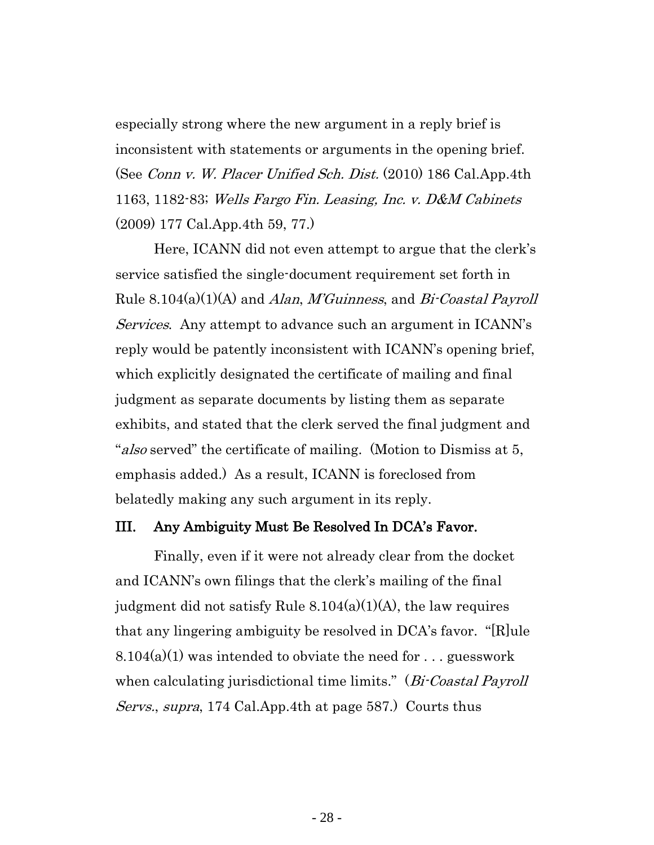especially strong where the new argument in a reply brief is inconsistent with statements or arguments in the opening brief. (See *Conn v. W. Placer Unified Sch. Dist.* (2010) 186 Cal.App.4th 1163, 1182-83; Wells Fargo Fin. Leasing, Inc. v. D&M Cabinets (2009) 177 Cal.App.4th 59, 77.)

Here, ICANN did not even attempt to argue that the clerk's service satisfied the single-document requirement set forth in Rule  $8.104(a)(1)(A)$  and Alan, M'Guinness, and Bi-Coastal Payroll Services. Any attempt to advance such an argument in ICANN's reply would be patently inconsistent with ICANN's opening brief, which explicitly designated the certificate of mailing and final judgment as separate documents by listing them as separate exhibits, and stated that the clerk served the final judgment and "*also* served" the certificate of mailing. (Motion to Dismiss at 5, emphasis added.) As a result, ICANN is foreclosed from belatedly making any such argument in its reply.

#### <span id="page-27-0"></span>III. Any Ambiguity Must Be Resolved In DCA's Favor.

Finally, even if it were not already clear from the docket and ICANN's own filings that the clerk's mailing of the final judgment did not satisfy Rule  $8.104(a)(1)(A)$ , the law requires that any lingering ambiguity be resolved in DCA's favor. "[R]ule  $8.104(a)(1)$  was intended to obviate the need for ... guesswork when calculating jurisdictional time limits." (Bi-Coastal Payroll Servs., supra, 174 Cal.App.4th at page 587.) Courts thus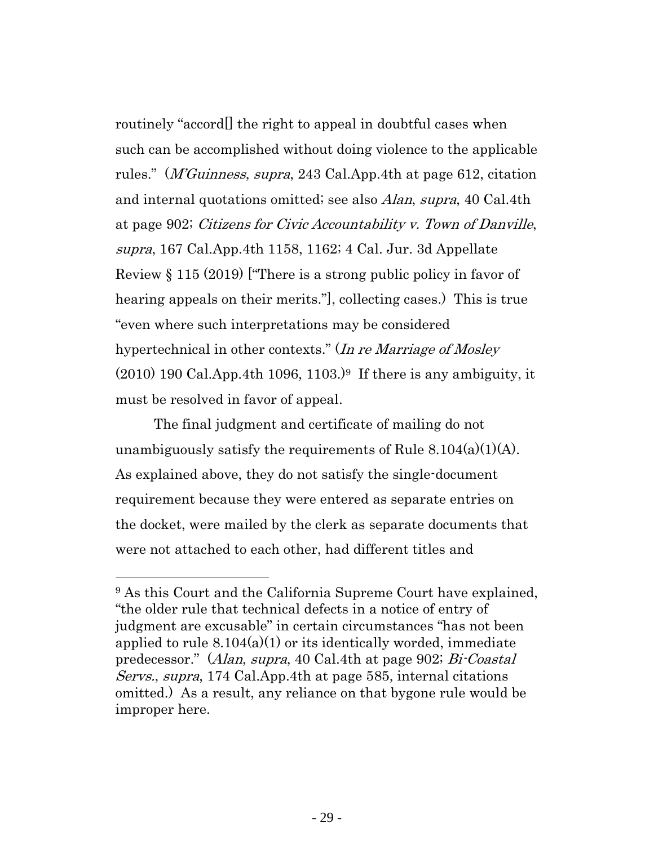routinely "accord[] the right to appeal in doubtful cases when such can be accomplished without doing violence to the applicable rules." (M'Guinness, supra, 243 Cal.App.4th at page 612, citation and internal quotations omitted; see also Alan, supra, 40 Cal.4th at page 902; Citizens for Civic Accountability v. Town of Danville, supra, 167 Cal.App.4th 1158, 1162; 4 Cal. Jur. 3d Appellate Review § 115 (2019) ["There is a strong public policy in favor of hearing appeals on their merits."], collecting cases.) This is true "even where such interpretations may be considered hypertechnical in other contexts." (In re Marriage of Mosley  $(2010)$  190 Cal.App.4th 1096, 1103.)<sup>9</sup> If there is any ambiguity, it must be resolved in favor of appeal.

The final judgment and certificate of mailing do not unambiguously satisfy the requirements of Rule  $8.104(a)(1)(A)$ . As explained above, they do not satisfy the single-document requirement because they were entered as separate entries on the docket, were mailed by the clerk as separate documents that were not attached to each other, had different titles and

<sup>9</sup> As this Court and the California Supreme Court have explained, "the older rule that technical defects in a notice of entry of judgment are excusable" in certain circumstances "has not been applied to rule  $8.104(a)(1)$  or its identically worded, immediate predecessor." (Alan, supra, 40 Cal.4th at page 902; Bi-Coastal Servs., supra, 174 Cal.App.4th at page 585, internal citations omitted.) As a result, any reliance on that bygone rule would be improper here.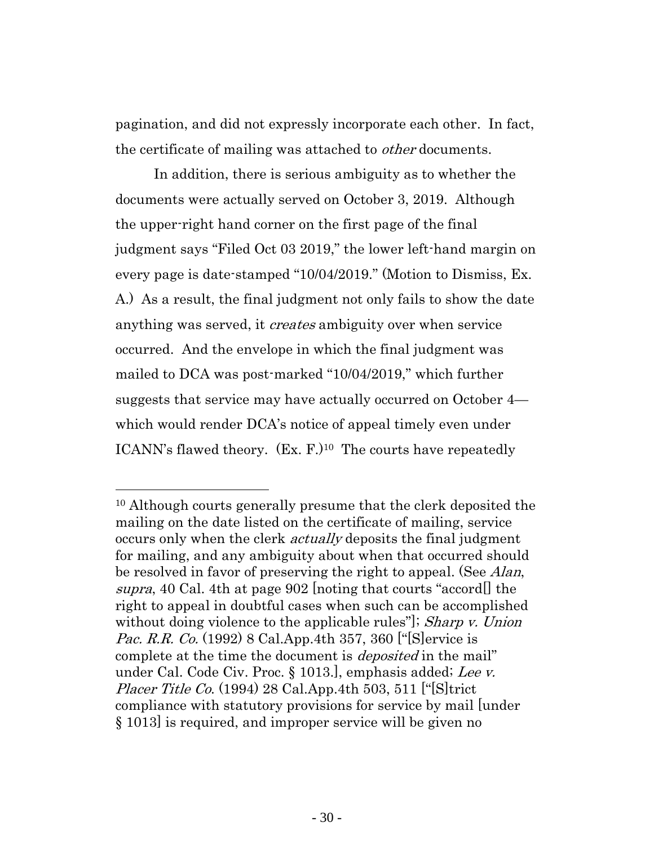pagination, and did not expressly incorporate each other. In fact, the certificate of mailing was attached to *other* documents.

In addition, there is serious ambiguity as to whether the documents were actually served on October 3, 2019. Although the upper-right hand corner on the first page of the final judgment says "Filed Oct 03 2019," the lower left-hand margin on every page is date-stamped "10/04/2019." (Motion to Dismiss, Ex. A.) As a result, the final judgment not only fails to show the date anything was served, it *creates* ambiguity over when service occurred. And the envelope in which the final judgment was mailed to DCA was post-marked "10/04/2019," which further suggests that service may have actually occurred on October 4 which would render DCA's notice of appeal timely even under ICANN's flawed theory. (Ex. F.) <sup>10</sup> The courts have repeatedly

<sup>10</sup> Although courts generally presume that the clerk deposited the mailing on the date listed on the certificate of mailing, service occurs only when the clerk *actually* deposits the final judgment for mailing, and any ambiguity about when that occurred should be resolved in favor of preserving the right to appeal. (See *Alan*, supra, 40 Cal. 4th at page 902 noting that courts "accord" the right to appeal in doubtful cases when such can be accomplished without doing violence to the applicable rules"]; Sharp v. Union *Pac. R.R. Co.* (1992) 8 Cal.App.4th 357, 360 ["[S]ervice is complete at the time the document is *deposited* in the mail" under Cal. Code Civ. Proc. § 1013., emphasis added; Lee v. *Placer Title Co.* (1994) 28 Cal.App.4th 503, 511 [" $[S]$ trict compliance with statutory provisions for service by mail [under § 1013] is required, and improper service will be given no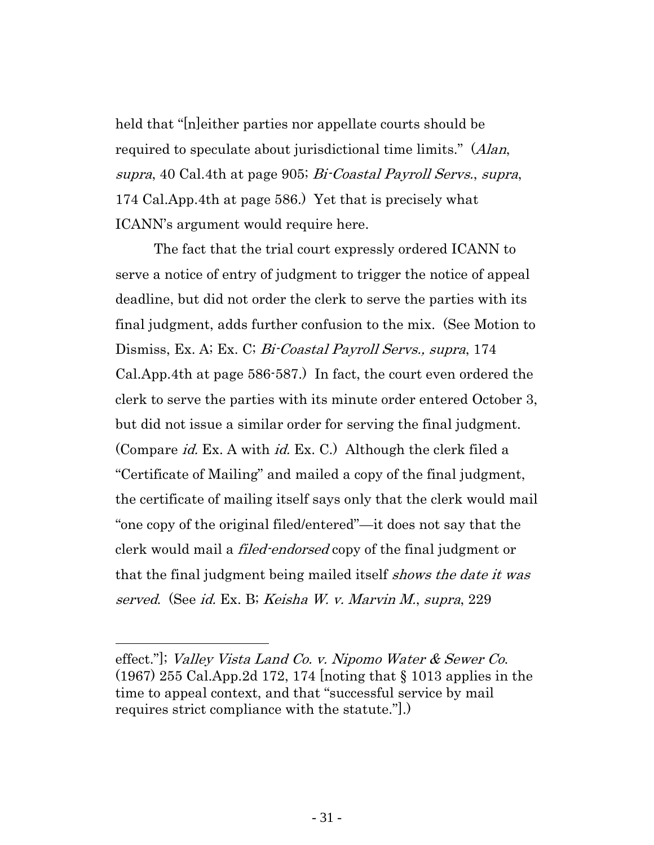held that "[n]either parties nor appellate courts should be required to speculate about jurisdictional time limits." (Alan, supra, 40 Cal.4th at page 905; Bi-Coastal Payroll Servs., supra, 174 Cal.App.4th at page 586.) Yet that is precisely what ICANN's argument would require here.

The fact that the trial court expressly ordered ICANN to serve a notice of entry of judgment to trigger the notice of appeal deadline, but did not order the clerk to serve the parties with its final judgment, adds further confusion to the mix. (See Motion to Dismiss, Ex. A; Ex. C; *Bi-Coastal Payroll Servs.*, *supra*, 174 Cal.App.4th at page 586-587.) In fact, the court even ordered the clerk to serve the parties with its minute order entered October 3, but did not issue a similar order for serving the final judgment. (Compare id. Ex. A with id. Ex. C.) Although the clerk filed a "Certificate of Mailing" and mailed a copy of the final judgment, the certificate of mailing itself says only that the clerk would mail "one copy of the original filed/entered"—it does not say that the clerk would mail a *filed-endorsed* copy of the final judgment or that the final judgment being mailed itself *shows the date it was* served. (See id. Ex. B; Keisha W. v. Marvin M., supra, 229

effect."]; Valley Vista Land Co. v. Nipomo Water & Sewer Co. (1967) 255 Cal.App.2d 172, 174 [noting that § 1013 applies in the time to appeal context, and that "successful service by mail requires strict compliance with the statute."].)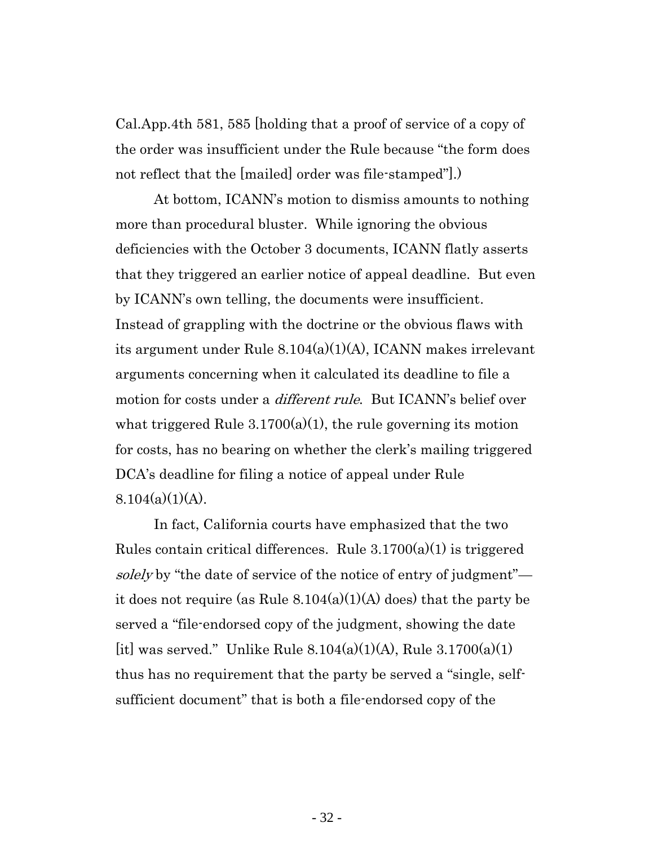Cal.App.4th 581, 585 [holding that a proof of service of a copy of the order was insufficient under the Rule because "the form does not reflect that the [mailed] order was file-stamped"].)

At bottom, ICANN's motion to dismiss amounts to nothing more than procedural bluster. While ignoring the obvious deficiencies with the October 3 documents, ICANN flatly asserts that they triggered an earlier notice of appeal deadline. But even by ICANN's own telling, the documents were insufficient. Instead of grappling with the doctrine or the obvious flaws with its argument under Rule 8.104(a)(1)(A), ICANN makes irrelevant arguments concerning when it calculated its deadline to file a motion for costs under a *different rule*. But ICANN's belief over what triggered Rule  $3.1700(a)(1)$ , the rule governing its motion for costs, has no bearing on whether the clerk's mailing triggered DCA's deadline for filing a notice of appeal under Rule  $8.104(a)(1)(A)$ .

In fact, California courts have emphasized that the two Rules contain critical differences. Rule 3.1700(a)(1) is triggered solely by "the date of service of the notice of entry of judgment" it does not require (as Rule  $8.104(a)(1)(A)$  does) that the party be served a "file-endorsed copy of the judgment, showing the date [it] was served." Unlike Rule  $8.104(a)(1)(A)$ , Rule  $3.1700(a)(1)$ thus has no requirement that the party be served a "single, selfsufficient document" that is both a file-endorsed copy of the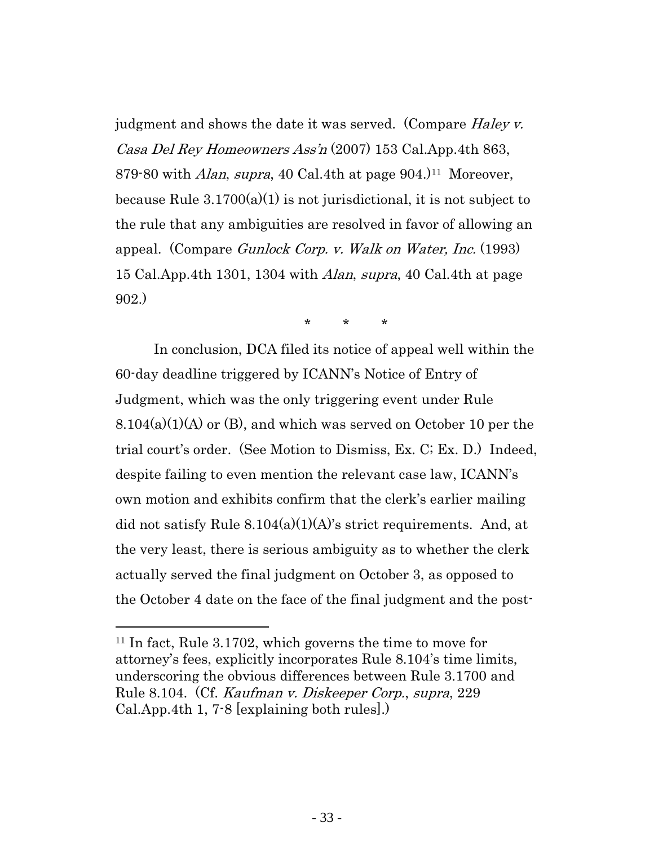judgment and shows the date it was served. (Compare *Haley v.*) Casa Del Rey Homeowners Ass'n (2007) 153 Cal.App.4th 863, 879-80 with *Alan, supra,* 40 Cal.4th at page 904.<sup>11</sup> Moreover, because Rule  $3.1700(a)(1)$  is not jurisdictional, it is not subject to the rule that any ambiguities are resolved in favor of allowing an appeal. (Compare Gunlock Corp. v. Walk on Water, Inc. (1993) 15 Cal.App.4th 1301, 1304 with Alan, supra, 40 Cal.4th at page 902.)

\* \* \*

In conclusion, DCA filed its notice of appeal well within the 60-day deadline triggered by ICANN's Notice of Entry of Judgment, which was the only triggering event under Rule 8.104(a)(1)(A) or (B), and which was served on October 10 per the trial court's order. (See Motion to Dismiss, Ex. C; Ex. D.) Indeed, despite failing to even mention the relevant case law, ICANN's own motion and exhibits confirm that the clerk's earlier mailing did not satisfy Rule  $8.104(a)(1)(A)$ 's strict requirements. And, at the very least, there is serious ambiguity as to whether the clerk actually served the final judgment on October 3, as opposed to the October 4 date on the face of the final judgment and the post-

<sup>11</sup> In fact, Rule 3.1702, which governs the time to move for attorney's fees, explicitly incorporates Rule 8.104's time limits, underscoring the obvious differences between Rule 3.1700 and Rule 8.104. (Cf. Kaufman v. Diskeeper Corp., supra, 229 Cal.App.4th 1, 7-8 [explaining both rules].)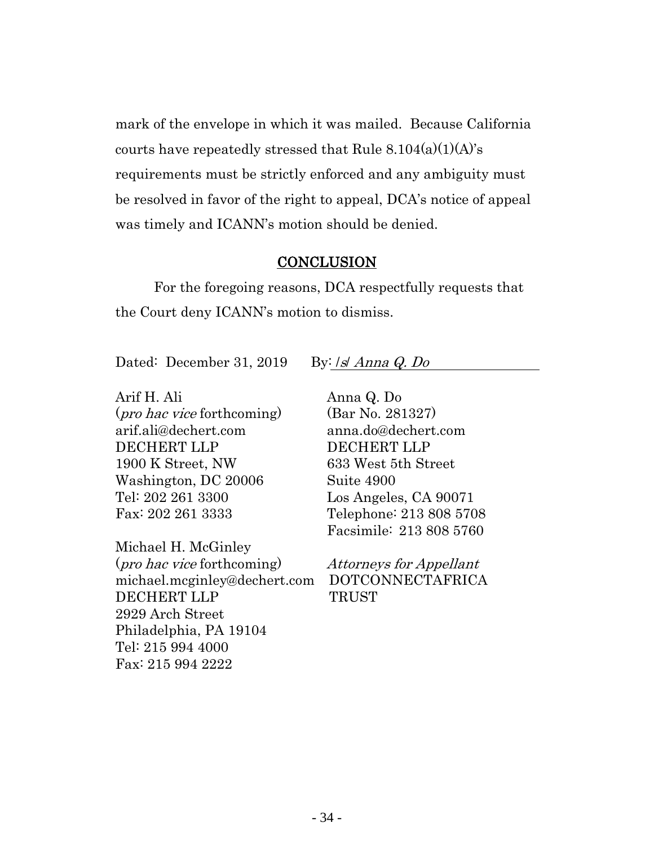mark of the envelope in which it was mailed. Because California courts have repeatedly stressed that Rule  $8.104(a)(1)(A)$ 's requirements must be strictly enforced and any ambiguity must be resolved in favor of the right to appeal, DCA's notice of appeal was timely and ICANN's motion should be denied.

#### **CONCLUSION**

<span id="page-33-0"></span>For the foregoing reasons, DCA respectfully requests that the Court deny ICANN's motion to dismiss.

Dated: December 31, 2019 By: /s/ Anna Q. Do

Arif H. Ali (pro hac vice forthcoming) arif.ali@dechert.com DECHERT LLP 1900 K Street, NW Washington, DC 20006 Tel: 202 261 3300 Fax: 202 261 3333

Michael H. McGinley (pro hac vice forthcoming) michael.mcginley@dechert.com DECHERT LLP 2929 Arch Street Philadelphia, PA 19104 Tel: 215 994 4000 Fax: 215 994 2222

Anna Q. Do (Bar No. 281327) anna.do@dechert.com DECHERT LLP 633 West 5th Street Suite 4900 Los Angeles, CA 90071 Telephone: 213 808 5708 Facsimile: 213 808 5760

Attorneys for Appellant DOTCONNECTAFRICA TRUST